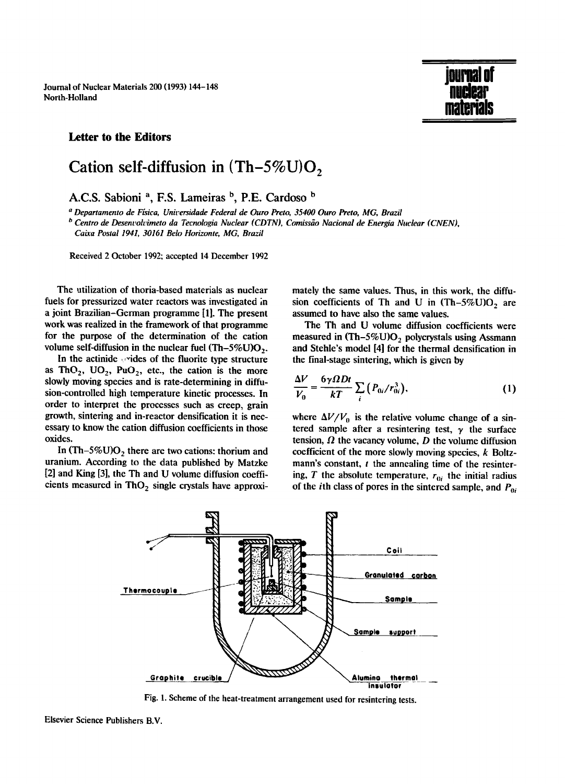Journal of Nuclear Materials 200 (1993) 144-148 North-Holland

## **Letter to the Editors**

## Cation self-diffusion in  $(Th-5\%U)O$ ,

**A.C.S. Sabioni a, F.S. Lameiras b, P.E. Cardoso b** 

*a Departamento de Ffsica, Unirersidade Federal de Ouro Preto, 35400 Ouro Preto, MG, Brazil* 

<sup>*b Centro de Desenvolvimeto da Tecnologia Nuclear (CDTN), Comissão Nacional de Energia Nuclear (CNEN),*</sup> *Caixa Postal 1941, 30161 Belo Horizonte, MG, Brazil* 

Received 2 October 1992; accepted 14 December 1992

The utilization of thoria-based materials as nuclear fuels for pressurized water reactors was investigated in a joint Brazilian-German programme [1]. The present work was realized in the framework of that programme for the purpose of the determination of the cation volume self-diffusion in the nuclear fuel  $(Th-5\%U)O_2$ .

In the actinide  $\sim$  rides of the fluorite type structure as ThO<sub>2</sub>, UO<sub>2</sub>, PuO<sub>2</sub>, etc., the cation is the more slowly moving species and is rate-determining in diffusion-controlled high temperature kinetic processes. In order to interpret the processes such as creep, grain growth, sintering and in-reactor densification it is neeessary to know the cation diffusion coefficients in those oxides.

In  $(Th-5\%U)O<sub>2</sub>$  there are two cations: thorium and uranium. According to the data published by Matzke [2] and King [3], the Th and U volume diffusion coefficients measured in  $ThO<sub>2</sub>$  single crystals have approximately the same values. Thus, in this work, the diffusion coefficients of Th and U in  $(Th-5\%U)O<sub>2</sub>$  are assumed to have also the same values.

jvurii<del>di</del> vi

**flUClgr materials** 

The Th and U volume diffusion coefficients were measured in  $(Th-5\%U)O_2$  polycrystals using Assmann and Stehle's model [4] for the thermal densification in the final-stage sintering, which is given by

$$
\frac{\Delta V}{V_0} = \frac{6\gamma \Omega Dt}{kT} \sum_i (P_{0i}/r_{0i}^3),\tag{1}
$$

where  $\Delta V/V_0$  is the relative volume change of a sintered sample after a resintering test,  $\gamma$  the surface tension,  $\Omega$  the vacancy volume,  $D$  the volume diffusion coefficient of the more slowly moving species,  $k$  Boltzmann's constant,  $t$  the annealing time of the resintering,  $T$  the absolute temperature,  $r_{0i}$  the initial radius of the *i*th class of pores in the sintered sample, and  $P_{0i}$ 



Fig. 1. Scheme of the heat-treatment arrangement used for resintering tests.

Elsevier Science Publishers B.V.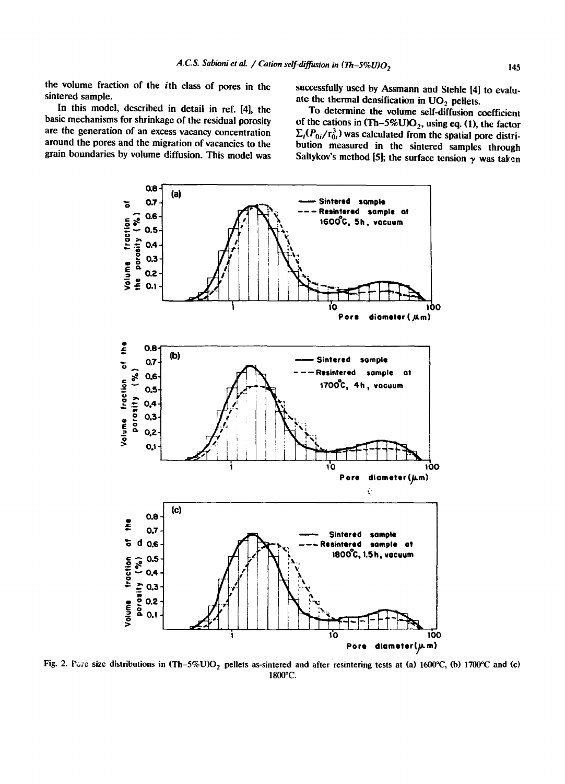the volume fraction of the ith class of pores in the sintered sample.

successfully used by Assmann and Stehle [4] to evaluate the thermal densification in  $UO<sub>2</sub>$  pellets.

In this model, described in detail in ref. [4], the basic mechanisms for shrinkage of the residual porosity are the generation of an excess vacancy concentration around the pores and the migration of vacancies to the grain boundaries by volume diffusion. This model was

To determine the volume self-diffusion coefficient of the cations in  $(Th-5\%U)O_2$ , using eq. (1), the factor  $\Sigma_i(P_{0i}/r_{0i}^3)$  was calculated from the spatial pore distribution measured in the sintered samples through Saltykov's method [5]; the surface tension  $\gamma$  was taken



Fig. 2. Fore size distributions in (Th-5%U)O<sub>2</sub> pellets as-sintered and after resintering tests at (a) 1600°C, (b) 1700°C and (c) 1800°C.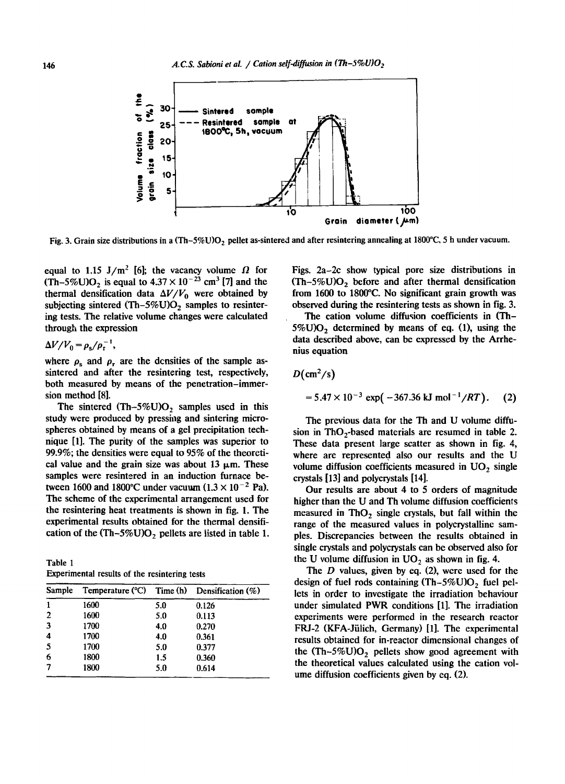

Fig. 3. Grain size distributions in a  $(Th-5\%)O_2$  pellet as-sintered and after resintering annealing at 1800°C, 5 h under vacuum.

equal to 1.15 J/m<sup>2</sup> [6]; the vacancy volume  $\Omega$  for  $(Th-5\%U)O<sub>2</sub>$  is equal to  $4.37 \times 10^{-23}$  cm<sup>3</sup> [7] and the thermal densification data  $\Delta V/V_0$  were obtained by subjecting sintered (Th-5%U) $O<sub>2</sub>$  samples to resintering tests. The relative volume changes were calculated through the expression

## $\Delta V/V_0 = \rho_s/\rho_r^{-1}$ ,

where  $\rho_s$  and  $\rho_r$  are the densities of the sample assintered and after the resintering test, respectively, both measured by means of the penetration-immersion method [8].

The sintered  $(Th-5\%U)O_2$  samples used in this study were produced by pressing and sintering microspheres obtained by means of a gel precipitation technique [1]. The purity of the samples was superior to 99.9%; the densities were equal to 95% of the theoretical value and the grain size was about 13  $\mu$ m. These samples were resintered in an induction furnace between 1600 and 1800°C under vacuum  $(1.3 \times 10^{-2} \text{ Pa})$ . The scheme of the experimental arrangement used for the resintering heat treatments is shown in fig. 1. The experimental results obtained for the thermal densification of the  $(Th-5\%U)O$ , pellets are listed in table 1.

Table 1 Experimental results of the resintering tests

| Sample       |      |     | Temperature ( $\degree$ C) Time (h) Densification (%)<br>0.126 |  |  |
|--------------|------|-----|----------------------------------------------------------------|--|--|
| 1            | 1600 | 5.0 |                                                                |  |  |
| $\mathbf{2}$ | 1600 | 5.0 | 0.113                                                          |  |  |
| 3            | 1700 | 4.0 | 0.270                                                          |  |  |
| 4            | 1700 | 4.0 | 0.361                                                          |  |  |
| 5            | 1700 | 5.0 | 0.377                                                          |  |  |
| 6            | 1800 | 1.5 | 0.360                                                          |  |  |
| 7            | 1800 | 5.0 | 0.614                                                          |  |  |

Figs. 2a-2c show typical pore size distributions in (Th-5%U)O, before and after thermal densification from 1600 to 1800°C. No significant grain growth was observed during the resintering tests as shown in fig. 3.

The cation volume diffusion coefficients in (Th- $5\%$ U)O<sub>2</sub> determined by means of eq. (1), using the data described above, can be expressed by the Arrhenius equation

$$
D(\text{cm}^2/\text{s})
$$

$$
= 5.47 \times 10^{-3} \exp(-367.36 \text{ kJ} \text{ mol}^{-1}/RT). \quad (2)
$$

The previous data for the Th and U volume diffusion in ThO $<sub>2</sub>$ -based materials are resumed in table 2.</sub> These data present large scatter as shown in fig. 4, where are represented also our results and the U volume diffusion coefficients measured in  $UO<sub>2</sub>$  single crystals [13] and polycrystals [14].

Our results are about 4 to 5 orders of magnitude higher than the U and Th volume diffusion coefficients measured in ThO<sub>2</sub> single crystals, but fall within the range of the measured values in polycrystalline samples. Discrepancies between the results obtained in single crystals and polycrystals can be observed also for the U volume diffusion in  $UO<sub>2</sub>$  as shown in fig. 4.

The  $D$  values, given by eq. (2), were used for the design of fuel rods containing  $(Th-5\%U)O$ , fuel pellets in order to investigate the irradiation behaviour under simulated PWR conditions [1]. The irradiation experiments were performed in the research reactor FRJ-2 (KFA-Jülich, Germany) [1]. The experimental results obtained for in-reactor dimensional changes of the  $(Th-5\%U)O<sub>2</sub>$  pellets show good agreement with the theoretical values calculated using the cation volume diffusion coefficients given by eq. (2).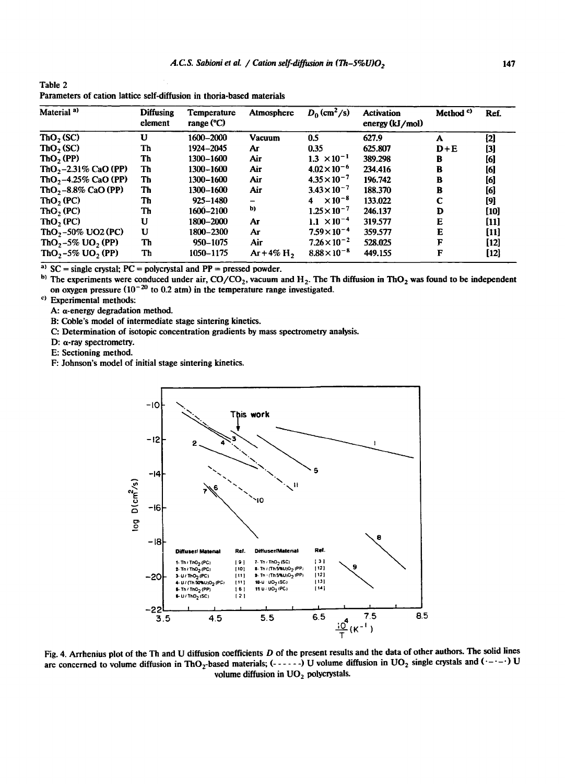| Material <sup>a)</sup>                    | <b>Diffusing</b><br>element | Temperature<br>range $°C)$ | Atmosphere               | $D_0$ (cm <sup>2</sup> /s)     | <b>Activation</b><br>energy $(kJ/mol)$ | Method <sup>c)</sup> | Ref.   |
|-------------------------------------------|-----------------------------|----------------------------|--------------------------|--------------------------------|----------------------------------------|----------------------|--------|
| $\text{ThO}_2(\text{SC})$                 | U                           | 1600-2000                  | <b>Vacuum</b>            | 0.5                            | 627.9                                  | A                    | $[2]$  |
| $ThO2$ (SC)                               | Th                          | 1924-2045                  | Ar                       | 0.35                           | 625.807                                | $D + E$              | [3]    |
| $\text{ThO}_2(\text{PP})$                 | Th                          | 1300-1600                  | Air                      | $\times 10^{-1}$<br>1.3        | 389.298                                | в                    | [6]    |
| $ThO2-2.31\%$ CaO (PP)                    | Th                          | 1300-1600                  | Air                      | $4.02 \times 10^{-6}$          | 234,416                                | B                    | [6]    |
| ThO <sub>2</sub> -4.25% CaO (PP)          | Th                          | 1300-1600                  | Air                      | $4.35 \times 10^{-7}$          | 196.742                                | в                    | [6]    |
| ThO <sub>2</sub> -8.8% CaO (PP)           | Th                          | 1300-1600                  | Air                      | $3.43 \times 10^{-7}$          | 188.370                                | B                    | [6]    |
| ThO <sub>2</sub> (PC)                     | Th                          | $925 - 1480$               | $\overline{\phantom{0}}$ | $\times$ 10 <sup>-8</sup><br>4 | 133.022                                | C                    | [9]    |
| ThO <sub>2</sub> (PC)                     | Th                          | 1600-2100                  | b)                       | $1.25 \times 10^{-7}$          | 246.137                                | D                    | [10]   |
| $ThO$ , $(PC)$                            | U                           | 1800-2000                  | Aг                       | 1.1 $\times$ 10 <sup>-4</sup>  | 319.577                                | E                    | $[11]$ |
| ThO <sub>2</sub> - 50% UO2 (PC)           | U                           | 1800-2300                  | Ar                       | $7.59\times10^{-4}$            | 359.577                                | Е                    | $[11]$ |
| ThO <sub>2</sub> -5% UO <sub>2</sub> (PP) | Th                          | 950-1075                   | Air                      | $7.26 \times 10^{-2}$          | 528.025                                | F                    | $[12]$ |
| $ThO2-5\%$ UO <sub>2</sub> (PP)           | Tb                          | 1050-1175                  | $Ar+4\% H$ ,             | $8.88 \times 10^{-8}$          | 449.155                                | F                    | $[12]$ |

Table 2 Parameters of cation lattice self-diffusion in thoria-based materials

<sup>a)</sup> SC = single crystal; PC = polycrystal and PP = pressed powder.

<sup>b)</sup> The experiments were conduced under air,  $CO/CO_2$ , vacuum and  $H_2$ . The Th diffusion in ThO<sub>2</sub> was found to be independent on oxygen pressure ( $10^{-20}$  to 0.2 atm) in the temperature range investigated.

c) Experimental methods:

A: a-energy degradation method.

B: Coble's model of intermediate stage sintering kinetics.

C: Determination of isotopic concentration gradients by mass spectrometry analysis.

D:  $\alpha$ -ray spectrometry.

E: Sectioning method.

F: Johnson's model of initial stage sintering kinetics.



Fig. 4. Arrhenius plot of the Th and U diffusion coefficients  $D$  of the present results and the data of other authors. The solid lines are concerned to volume diffusion in ThO<sub>2</sub>-based materials; (------) U volume diffusion in UO<sub>2</sub> single crystals and ( $\cdot$ - $\cdot$ - $\cdot$ ) U volume diffusion in  $UO<sub>2</sub>$  polycrystals.